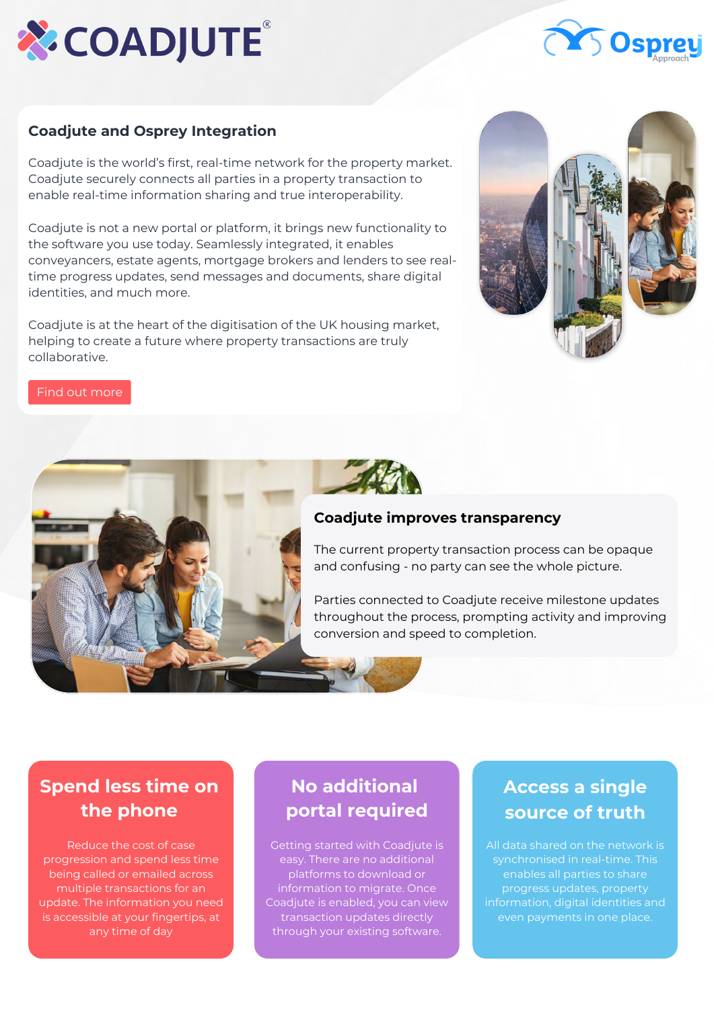



#### **Coadjute and Osprey Integration**

Coadjute is the world's first, real-time network for the property market. Coadjute securely connects all parties in a property transaction to enable real-time information sharing and true interoperability.

Coadjute is not a new portal or platform, it brings new functionality to the software you use today. Seamlessly integrated, it enables conveyancers, estate agents, mortgage brokers and lenders to see realtime progress updates, send messages and documents, share digital identities, and much more.

Coadjute is at the heart of the digitisation of the UK housing market, helping to create a future where property transactions are truly collaborative.



#### [Find out more](https://www.coadjute.com/conveyancers/)



#### **Coadjute improves transparency**

The current property transaction process can be opaque and confusing - no party can see the whole picture.

Parties connected to Coadjute receive milestone updates throughout the process, prompting activity and improving conversion and speed to completion.

# **Spend less time on the phone**

Reduce the cost of case progression and spend less time being called or emailed across multiple transactions for an update. The information you need is accessible at your fingertips, at any time of day

# **No additional portal required**

Getting started with Coadjute is easy. There are no additional platforms to download or information to migrate. Once Coadjute is enabled, you can view transaction updates directly through your existing software.

# **Access a single source of truth**

All data shared on the network is synchronised in real-time. This progress updates, property information, digital identities and